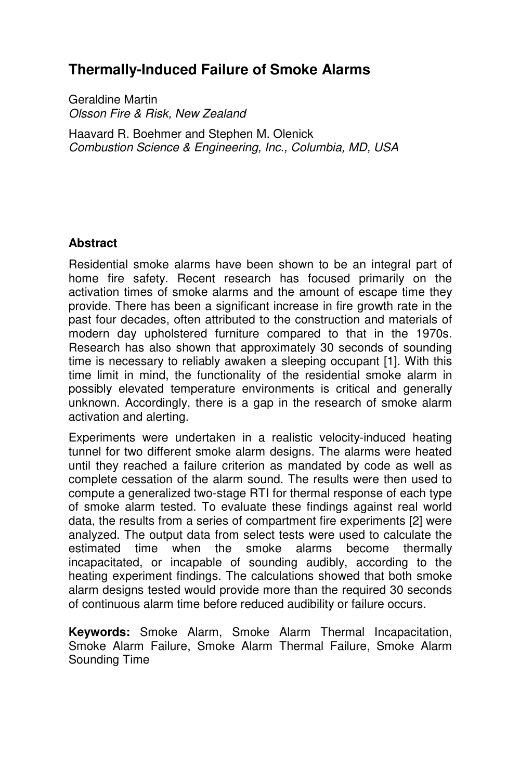# **Thermally-Induced Failure of Smoke Alarms**

Geraldine Martin *Olsson Fire & Risk, New Zealand*

Haavard R. Boehmer and Stephen M. Olenick *Combustion Science & Engineering, Inc., Columbia, MD, USA* 

### **Abstract**

Residential smoke alarms have been shown to be an integral part of home fire safety. Recent research has focused primarily on the activation times of smoke alarms and the amount of escape time they provide. There has been a significant increase in fire growth rate in the past four decades, often attributed to the construction and materials of modern day upholstered furniture compared to that in the 1970s. Research has also shown that approximately 30 seconds of sounding time is necessary to reliably awaken a sleeping occupant [1]. With this time limit in mind, the functionality of the residential smoke alarm in possibly elevated temperature environments is critical and generally unknown. Accordingly, there is a gap in the research of smoke alarm activation and alerting.

Experiments were undertaken in a realistic velocity-induced heating tunnel for two different smoke alarm designs. The alarms were heated until they reached a failure criterion as mandated by code as well as complete cessation of the alarm sound. The results were then used to compute a generalized two-stage RTI for thermal response of each type of smoke alarm tested. To evaluate these findings against real world data, the results from a series of compartment fire experiments [2] were analyzed. The output data from select tests were used to calculate the estimated time when the smoke alarms become thermally incapacitated, or incapable of sounding audibly, according to the heating experiment findings. The calculations showed that both smoke alarm designs tested would provide more than the required 30 seconds of continuous alarm time before reduced audibility or failure occurs.

**Keywords:** Smoke Alarm, Smoke Alarm Thermal Incapacitation, Smoke Alarm Failure, Smoke Alarm Thermal Failure, Smoke Alarm Sounding Time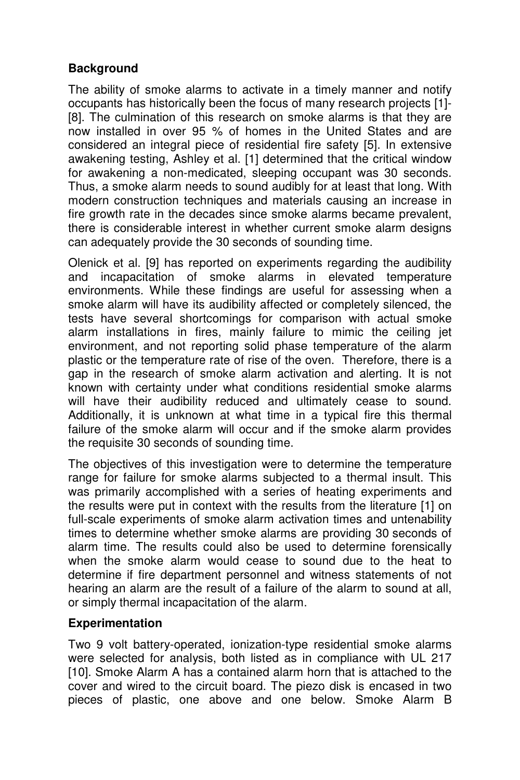## **Background**

The ability of smoke alarms to activate in a timely manner and notify occupants has historically been the focus of many research projects [1]- [8]. The culmination of this research on smoke alarms is that they are now installed in over 95 % of homes in the United States and are considered an integral piece of residential fire safety [5]. In extensive awakening testing, Ashley et al. [1] determined that the critical window for awakening a non-medicated, sleeping occupant was 30 seconds. Thus, a smoke alarm needs to sound audibly for at least that long. With modern construction techniques and materials causing an increase in fire growth rate in the decades since smoke alarms became prevalent, there is considerable interest in whether current smoke alarm designs can adequately provide the 30 seconds of sounding time.

Olenick et al. [9] has reported on experiments regarding the audibility and incapacitation of smoke alarms in elevated temperature environments. While these findings are useful for assessing when a smoke alarm will have its audibility affected or completely silenced, the tests have several shortcomings for comparison with actual smoke alarm installations in fires, mainly failure to mimic the ceiling jet environment, and not reporting solid phase temperature of the alarm plastic or the temperature rate of rise of the oven. Therefore, there is a gap in the research of smoke alarm activation and alerting. It is not known with certainty under what conditions residential smoke alarms will have their audibility reduced and ultimately cease to sound. Additionally, it is unknown at what time in a typical fire this thermal failure of the smoke alarm will occur and if the smoke alarm provides the requisite 30 seconds of sounding time.

The objectives of this investigation were to determine the temperature range for failure for smoke alarms subjected to a thermal insult. This was primarily accomplished with a series of heating experiments and the results were put in context with the results from the literature [1] on full-scale experiments of smoke alarm activation times and untenability times to determine whether smoke alarms are providing 30 seconds of alarm time. The results could also be used to determine forensically when the smoke alarm would cease to sound due to the heat to determine if fire department personnel and witness statements of not hearing an alarm are the result of a failure of the alarm to sound at all, or simply thermal incapacitation of the alarm.

### **Experimentation**

Two 9 volt battery-operated, ionization-type residential smoke alarms were selected for analysis, both listed as in compliance with UL 217 [10]. Smoke Alarm A has a contained alarm horn that is attached to the cover and wired to the circuit board. The piezo disk is encased in two pieces of plastic, one above and one below. Smoke Alarm B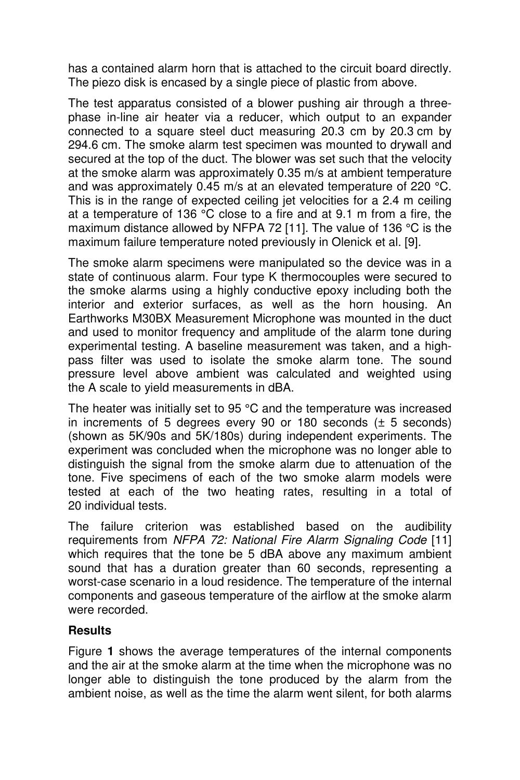has a contained alarm horn that is attached to the circuit board directly. The piezo disk is encased by a single piece of plastic from above.

The test apparatus consisted of a blower pushing air through a threephase in-line air heater via a reducer, which output to an expander connected to a square steel duct measuring 20.3 cm by 20.3 cm by 294.6 cm. The smoke alarm test specimen was mounted to drywall and secured at the top of the duct. The blower was set such that the velocity at the smoke alarm was approximately 0.35 m/s at ambient temperature and was approximately 0.45 m/s at an elevated temperature of 220 °C. This is in the range of expected ceiling jet velocities for a 2.4 m ceiling at a temperature of 136 °C close to a fire and at 9.1 m from a fire, the maximum distance allowed by NFPA 72 [11]. The value of 136 °C is the maximum failure temperature noted previously in Olenick et al. [9].

The smoke alarm specimens were manipulated so the device was in a state of continuous alarm. Four type K thermocouples were secured to the smoke alarms using a highly conductive epoxy including both the interior and exterior surfaces, as well as the horn housing. An Earthworks M30BX Measurement Microphone was mounted in the duct and used to monitor frequency and amplitude of the alarm tone during experimental testing. A baseline measurement was taken, and a highpass filter was used to isolate the smoke alarm tone. The sound pressure level above ambient was calculated and weighted using the A scale to yield measurements in dBA.

The heater was initially set to 95 °C and the temperature was increased in increments of 5 degrees every 90 or 180 seconds (± 5 seconds) (shown as 5K/90s and 5K/180s) during independent experiments. The experiment was concluded when the microphone was no longer able to distinguish the signal from the smoke alarm due to attenuation of the tone. Five specimens of each of the two smoke alarm models were tested at each of the two heating rates, resulting in a total of 20 individual tests.

The failure criterion was established based on the audibility requirements from *NFPA 72: National Fire Alarm Signaling Code* [11] which requires that the tone be 5 dBA above any maximum ambient sound that has a duration greater than 60 seconds, representing a worst-case scenario in a loud residence. The temperature of the internal components and gaseous temperature of the airflow at the smoke alarm were recorded.

### **Results**

Figure **1** shows the average temperatures of the internal components and the air at the smoke alarm at the time when the microphone was no longer able to distinguish the tone produced by the alarm from the ambient noise, as well as the time the alarm went silent, for both alarms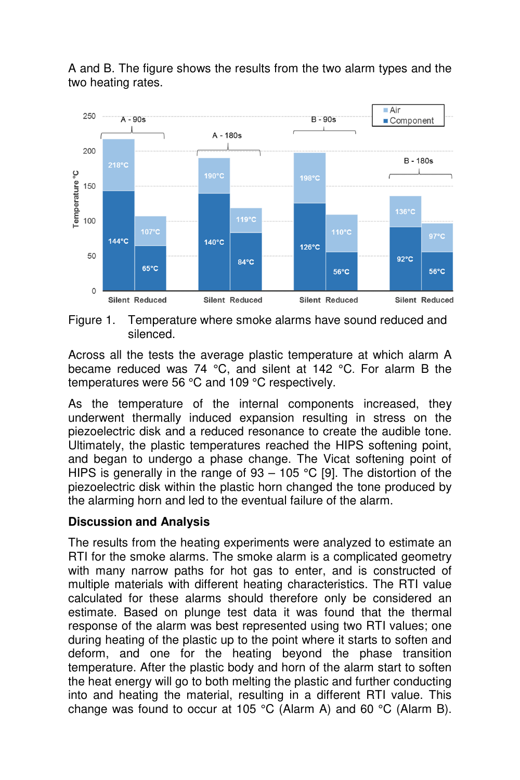

A and B. The figure shows the results from the two alarm types and the two heating rates.

Figure 1. Temperature where smoke alarms have sound reduced and silenced.

Across all the tests the average plastic temperature at which alarm A became reduced was 74 °C, and silent at 142 °C. For alarm B the temperatures were 56 °C and 109 °C respectively.

As the temperature of the internal components increased, they underwent thermally induced expansion resulting in stress on the piezoelectric disk and a reduced resonance to create the audible tone. Ultimately, the plastic temperatures reached the HIPS softening point, and began to undergo a phase change. The Vicat softening point of HIPS is generally in the range of  $93 - 105$  °C [9]. The distortion of the piezoelectric disk within the plastic horn changed the tone produced by the alarming horn and led to the eventual failure of the alarm.

### **Discussion and Analysis**

The results from the heating experiments were analyzed to estimate an RTI for the smoke alarms. The smoke alarm is a complicated geometry with many narrow paths for hot gas to enter, and is constructed of multiple materials with different heating characteristics. The RTI value calculated for these alarms should therefore only be considered an estimate. Based on plunge test data it was found that the thermal response of the alarm was best represented using two RTI values; one during heating of the plastic up to the point where it starts to soften and deform, and one for the heating beyond the phase transition temperature. After the plastic body and horn of the alarm start to soften the heat energy will go to both melting the plastic and further conducting into and heating the material, resulting in a different RTI value. This change was found to occur at 105 °C (Alarm A) and 60 °C (Alarm B).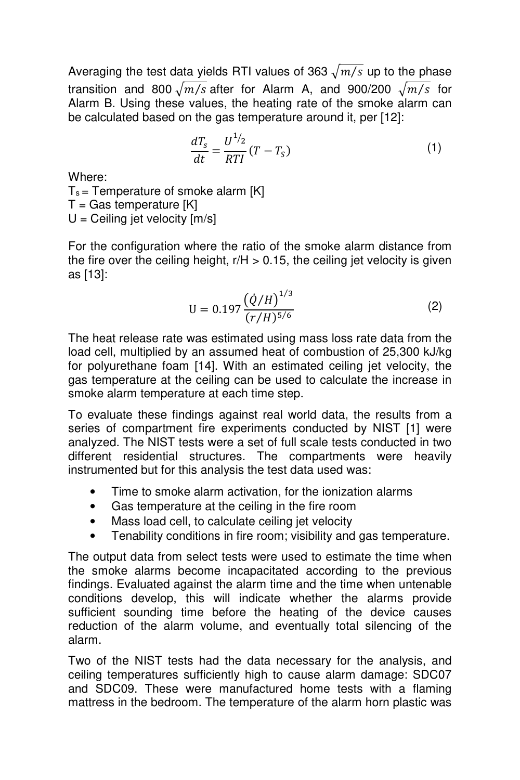Averaging the test data yields RTI values of 363  $\sqrt{m/s}$  up to the phase transition and 800  $\sqrt{m/s}$  after for Alarm A, and 900/200  $\sqrt{m/s}$  for Alarm B. Using these values, the heating rate of the smoke alarm can be calculated based on the gas temperature around it, per [12]:

$$
\frac{dT_s}{dt} = \frac{U^{1/2}}{RTI}(T - T_s) \tag{1}
$$

Where:

 $T_s$  = Temperature of smoke alarm [K]

 $T =$  Gas temperature  $[K]$ 

 $U =$  Ceiling jet velocity  $[m/s]$ 

For the configuration where the ratio of the smoke alarm distance from the fire over the ceiling height,  $r/H > 0.15$ , the ceiling jet velocity is given as [13]:

$$
U = 0.197 \frac{\left(\dot{Q}/H\right)^{1/3}}{\left(r/H\right)^{5/6}}\tag{2}
$$

The heat release rate was estimated using mass loss rate data from the load cell, multiplied by an assumed heat of combustion of 25,300 kJ/kg for polyurethane foam [14]. With an estimated ceiling jet velocity, the gas temperature at the ceiling can be used to calculate the increase in smoke alarm temperature at each time step.

To evaluate these findings against real world data, the results from a series of compartment fire experiments conducted by NIST [1] were analyzed. The NIST tests were a set of full scale tests conducted in two different residential structures. The compartments were heavily instrumented but for this analysis the test data used was:

- Time to smoke alarm activation, for the ionization alarms
- Gas temperature at the ceiling in the fire room
- Mass load cell, to calculate ceiling jet velocity
- Tenability conditions in fire room; visibility and gas temperature.

The output data from select tests were used to estimate the time when the smoke alarms become incapacitated according to the previous findings. Evaluated against the alarm time and the time when untenable conditions develop, this will indicate whether the alarms provide sufficient sounding time before the heating of the device causes reduction of the alarm volume, and eventually total silencing of the alarm.

Two of the NIST tests had the data necessary for the analysis, and ceiling temperatures sufficiently high to cause alarm damage: SDC07 and SDC09. These were manufactured home tests with a flaming mattress in the bedroom. The temperature of the alarm horn plastic was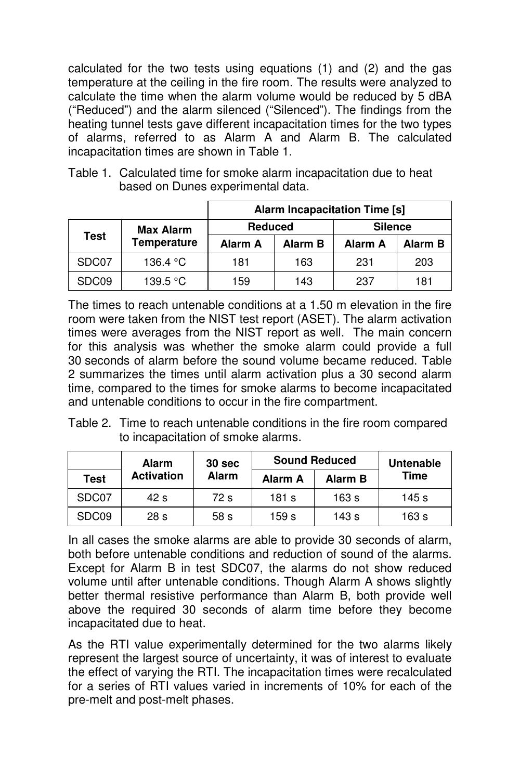calculated for the two tests using equations (1) and (2) and the gas temperature at the ceiling in the fire room. The results were analyzed to calculate the time when the alarm volume would be reduced by 5 dBA ("Reduced") and the alarm silenced ("Silenced"). The findings from the heating tunnel tests gave different incapacitation times for the two types of alarms, referred to as Alarm A and Alarm B. The calculated incapacitation times are shown in Table 1.

Table 1. Calculated time for smoke alarm incapacitation due to heat based on Dunes experimental data.

|             |                                        | <b>Alarm Incapacitation Time [s]</b> |         |                |                |  |
|-------------|----------------------------------------|--------------------------------------|---------|----------------|----------------|--|
| <b>Test</b> | <b>Max Alarm</b><br><b>Temperature</b> | <b>Reduced</b>                       |         | <b>Silence</b> |                |  |
|             |                                        | Alarm A                              | Alarm B | <b>Alarm A</b> | <b>Alarm B</b> |  |
| SDC07       | 136.4 °C                               | 181                                  | 163     | 231            | 203            |  |
| SDC09       | 139.5 °C                               | 159                                  | 143     | 237            | 181            |  |

The times to reach untenable conditions at a 1.50 m elevation in the fire room were taken from the NIST test report (ASET). The alarm activation times were averages from the NIST report as well. The main concern for this analysis was whether the smoke alarm could provide a full 30 seconds of alarm before the sound volume became reduced. Table 2 summarizes the times until alarm activation plus a 30 second alarm time, compared to the times for smoke alarms to become incapacitated and untenable conditions to occur in the fire compartment.

Table 2. Time to reach untenable conditions in the fire room compared to incapacitation of smoke alarms.

|                   | 30 sec<br><b>Alarm</b> |              | <b>Sound Reduced</b> | Untenable |             |
|-------------------|------------------------|--------------|----------------------|-----------|-------------|
| <b>Test</b>       | <b>Activation</b>      | <b>Alarm</b> | Alarm A              | Alarm B   | <b>Time</b> |
| SDC07             | 42 s                   | 72 s         | 181 s                | 163 s     | 145 s       |
| SDC <sub>09</sub> | 28 <sub>s</sub>        | 58 s         | 159 s                | 143 s     | 163 s       |

In all cases the smoke alarms are able to provide 30 seconds of alarm, both before untenable conditions and reduction of sound of the alarms. Except for Alarm B in test SDC07, the alarms do not show reduced volume until after untenable conditions. Though Alarm A shows slightly better thermal resistive performance than Alarm B, both provide well above the required 30 seconds of alarm time before they become incapacitated due to heat.

As the RTI value experimentally determined for the two alarms likely represent the largest source of uncertainty, it was of interest to evaluate the effect of varying the RTI. The incapacitation times were recalculated for a series of RTI values varied in increments of 10% for each of the pre-melt and post-melt phases.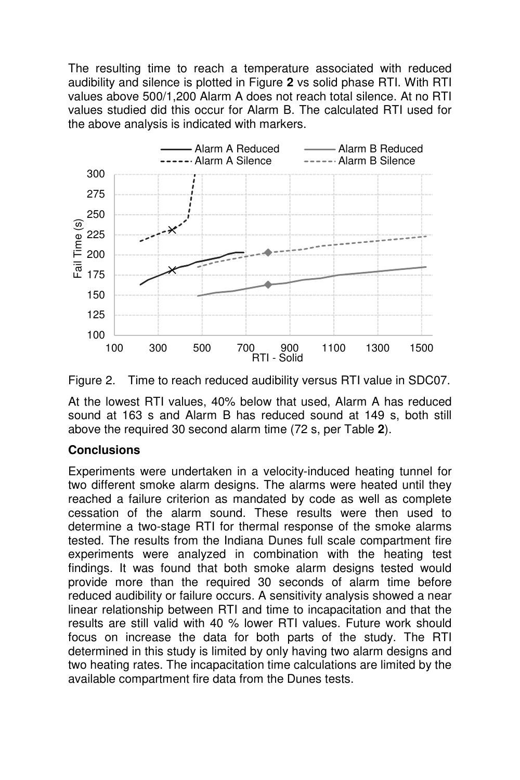The resulting time to reach a temperature associated with reduced audibility and silence is plotted in Figure **2** vs solid phase RTI. With RTI values above 500/1,200 Alarm A does not reach total silence. At no RTI values studied did this occur for Alarm B. The calculated RTI used for the above analysis is indicated with markers.





At the lowest RTI values, 40% below that used, Alarm A has reduced sound at 163 s and Alarm B has reduced sound at 149 s, both still above the required 30 second alarm time (72 s, per Table **2**).

### **Conclusions**

Experiments were undertaken in a velocity-induced heating tunnel for two different smoke alarm designs. The alarms were heated until they reached a failure criterion as mandated by code as well as complete cessation of the alarm sound. These results were then used to determine a two-stage RTI for thermal response of the smoke alarms tested. The results from the Indiana Dunes full scale compartment fire experiments were analyzed in combination with the heating test findings. It was found that both smoke alarm designs tested would provide more than the required 30 seconds of alarm time before reduced audibility or failure occurs. A sensitivity analysis showed a near linear relationship between RTI and time to incapacitation and that the results are still valid with 40 % lower RTI values. Future work should focus on increase the data for both parts of the study. The RTI determined in this study is limited by only having two alarm designs and two heating rates. The incapacitation time calculations are limited by the available compartment fire data from the Dunes tests.